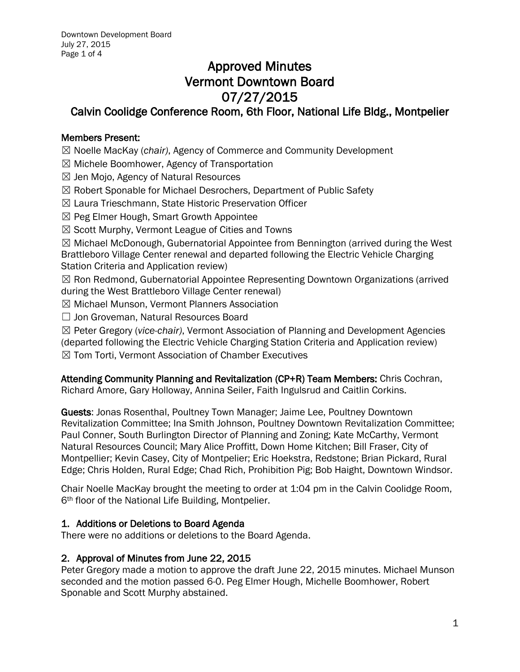# Approved Minutes Vermont Downtown Board 07/27/2015

# Calvin Coolidge Conference Room, 6th Floor, National Life Bldg., Montpelier

## Members Present:

- ☒ Noelle MacKay (*chair)*, Agency of Commerce and Community Development
- ☒ Michele Boomhower, Agency of Transportation
- ☒ Jen Mojo, Agency of Natural Resources
- ☒ Robert Sponable for Michael Desrochers, Department of Public Safety
- ☒ Laura Trieschmann, State Historic Preservation Officer
- $\boxtimes$  Peg Elmer Hough, Smart Growth Appointee
- $\boxtimes$  Scott Murphy, Vermont League of Cities and Towns

 $\boxtimes$  Michael McDonough, Gubernatorial Appointee from Bennington (arrived during the West Brattleboro Village Center renewal and departed following the Electric Vehicle Charging Station Criteria and Application review)

☒ Ron Redmond, Gubernatorial Appointee Representing Downtown Organizations (arrived during the West Brattleboro Village Center renewal)

☒ Michael Munson, Vermont Planners Association

☐ Jon Groveman, Natural Resources Board

☒ Peter Gregory (*vice-chair)*, Vermont Association of Planning and Development Agencies

(departed following the Electric Vehicle Charging Station Criteria and Application review)

☒ Tom Torti, Vermont Association of Chamber Executives

Attending Community Planning and Revitalization (CP+R) Team Members: Chris Cochran, Richard Amore, Gary Holloway, Annina Seiler, Faith Ingulsrud and Caitlin Corkins.

Guests: Jonas Rosenthal, Poultney Town Manager; Jaime Lee, Poultney Downtown Revitalization Committee; Ina Smith Johnson, Poultney Downtown Revitalization Committee; Paul Conner, South Burlington Director of Planning and Zoning; Kate McCarthy, Vermont Natural Resources Council; Mary Alice Proffitt, Down Home Kitchen; Bill Fraser, City of Montpellier; Kevin Casey, City of Montpelier; Eric Hoekstra, Redstone; Brian Pickard, Rural Edge; Chris Holden, Rural Edge; Chad Rich, Prohibition Pig; Bob Haight, Downtown Windsor.

Chair Noelle MacKay brought the meeting to order at 1:04 pm in the Calvin Coolidge Room, 6<sup>th</sup> floor of the National Life Building, Montpelier.

## 1. Additions or Deletions to Board Agenda

There were no additions or deletions to the Board Agenda.

## 2. Approval of Minutes from June 22, 2015

Peter Gregory made a motion to approve the draft June 22, 2015 minutes. Michael Munson seconded and the motion passed 6-0. Peg Elmer Hough, Michelle Boomhower, Robert Sponable and Scott Murphy abstained.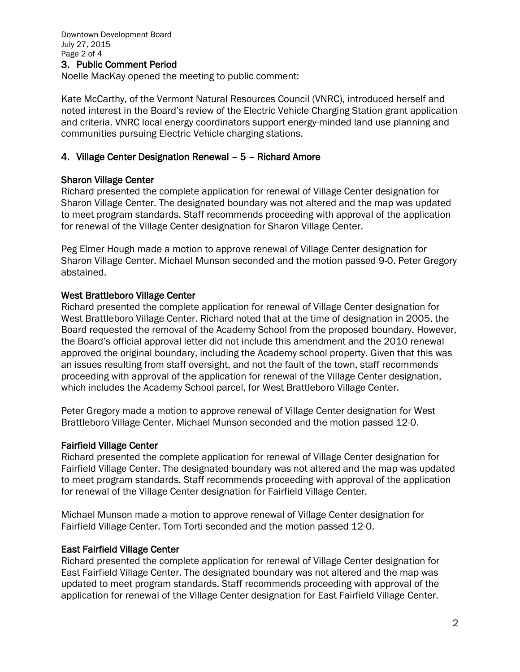# 3. Public Comment Period

Noelle MacKay opened the meeting to public comment:

Kate McCarthy, of the Vermont Natural Resources Council (VNRC), introduced herself and noted interest in the Board's review of the Electric Vehicle Charging Station grant application and criteria. VNRC local energy coordinators support energy-minded land use planning and communities pursuing Electric Vehicle charging stations.

### 4. Village Center Designation Renewal – 5 – Richard Amore

#### Sharon Village Center

Richard presented the complete application for renewal of Village Center designation for Sharon Village Center. The designated boundary was not altered and the map was updated to meet program standards. Staff recommends proceeding with approval of the application for renewal of the Village Center designation for Sharon Village Center.

Peg Elmer Hough made a motion to approve renewal of Village Center designation for Sharon Village Center. Michael Munson seconded and the motion passed 9-0. Peter Gregory abstained.

#### West Brattleboro Village Center

Richard presented the complete application for renewal of Village Center designation for West Brattleboro Village Center. Richard noted that at the time of designation in 2005, the Board requested the removal of the Academy School from the proposed boundary. However, the Board's official approval letter did not include this amendment and the 2010 renewal approved the original boundary, including the Academy school property. Given that this was an issues resulting from staff oversight, and not the fault of the town, staff recommends proceeding with approval of the application for renewal of the Village Center designation, which includes the Academy School parcel, for West Brattleboro Village Center.

Peter Gregory made a motion to approve renewal of Village Center designation for West Brattleboro Village Center. Michael Munson seconded and the motion passed 12-0.

#### Fairfield Village Center

Richard presented the complete application for renewal of Village Center designation for Fairfield Village Center. The designated boundary was not altered and the map was updated to meet program standards. Staff recommends proceeding with approval of the application for renewal of the Village Center designation for Fairfield Village Center.

Michael Munson made a motion to approve renewal of Village Center designation for Fairfield Village Center. Tom Torti seconded and the motion passed 12-0.

#### East Fairfield Village Center

Richard presented the complete application for renewal of Village Center designation for East Fairfield Village Center. The designated boundary was not altered and the map was updated to meet program standards. Staff recommends proceeding with approval of the application for renewal of the Village Center designation for East Fairfield Village Center.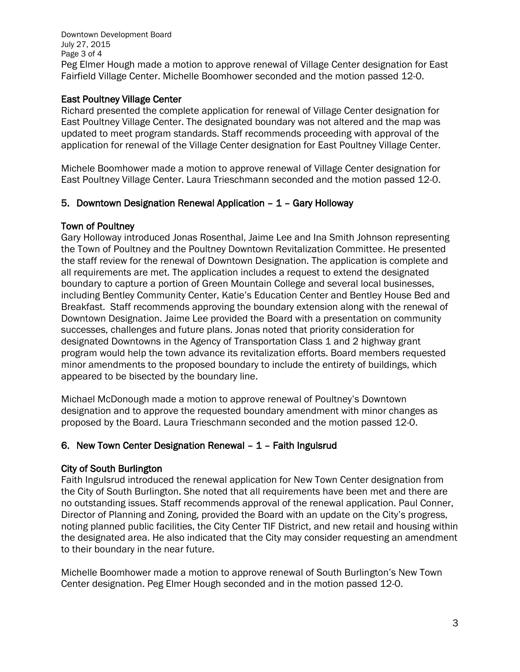Downtown Development Board July 27, 2015 Page 3 of 4 Peg Elmer Hough made a motion to approve renewal of Village Center designation for East Fairfield Village Center. Michelle Boomhower seconded and the motion passed 12-0.

## East Poultney Village Center

Richard presented the complete application for renewal of Village Center designation for East Poultney Village Center. The designated boundary was not altered and the map was updated to meet program standards. Staff recommends proceeding with approval of the application for renewal of the Village Center designation for East Poultney Village Center.

Michele Boomhower made a motion to approve renewal of Village Center designation for East Poultney Village Center. Laura Trieschmann seconded and the motion passed 12-0.

# 5. Downtown Designation Renewal Application – 1 – Gary Holloway

# Town of Poultney

Gary Holloway introduced Jonas Rosenthal, Jaime Lee and Ina Smith Johnson representing the Town of Poultney and the Poultney Downtown Revitalization Committee. He presented the staff review for the renewal of Downtown Designation. The application is complete and all requirements are met. The application includes a request to extend the designated boundary to capture a portion of Green Mountain College and several local businesses, including Bentley Community Center, Katie's Education Center and Bentley House Bed and Breakfast. Staff recommends approving the boundary extension along with the renewal of Downtown Designation. Jaime Lee provided the Board with a presentation on community successes, challenges and future plans. Jonas noted that priority consideration for designated Downtowns in the Agency of Transportation Class 1 and 2 highway grant program would help the town advance its revitalization efforts. Board members requested minor amendments to the proposed boundary to include the entirety of buildings, which appeared to be bisected by the boundary line.

Michael McDonough made a motion to approve renewal of Poultney's Downtown designation and to approve the requested boundary amendment with minor changes as proposed by the Board. Laura Trieschmann seconded and the motion passed 12-0.

# 6. New Town Center Designation Renewal – 1 – Faith Ingulsrud

# City of South Burlington

Faith Ingulsrud introduced the renewal application for New Town Center designation from the City of South Burlington. She noted that all requirements have been met and there are no outstanding issues. Staff recommends approval of the renewal application. Paul Conner, Director of Planning and Zoning, provided the Board with an update on the City's progress, noting planned public facilities, the City Center TIF District, and new retail and housing within the designated area. He also indicated that the City may consider requesting an amendment to their boundary in the near future.

Michelle Boomhower made a motion to approve renewal of South Burlington's New Town Center designation. Peg Elmer Hough seconded and in the motion passed 12-0.